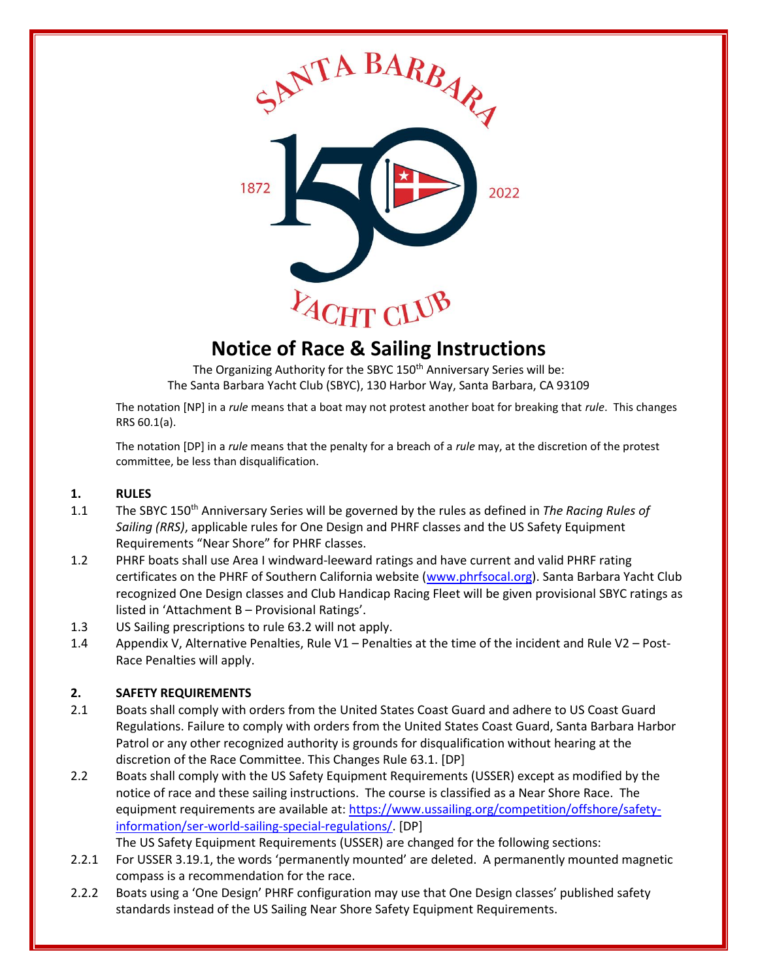

# **Notice of Race & Sailing Instructions**

The Organizing Authority for the SBYC 150<sup>th</sup> Anniversary Series will be: The Santa Barbara Yacht Club (SBYC), 130 Harbor Way, Santa Barbara, CA 93109

The notation [NP] in a *rule* means that a boat may not protest another boat for breaking that *rule*. This changes RRS 60.1(a).

The notation [DP] in a *rule* means that the penalty for a breach of a *rule* may, at the discretion of the protest committee, be less than disqualification.

#### **1. RULES**

- 1.1 The SBYC 150th Anniversary Series will be governed by the rules as defined in *The Racing Rules of Sailing (RRS)*, applicable rules for One Design and PHRF classes and the US Safety Equipment Requirements "Near Shore" for PHRF classes.
- 1.2 PHRF boats shall use Area I windward-leeward ratings and have current and valid PHRF rating certificates on the PHRF of Southern California website [\(www.phrfsocal.org\)](http://www.phrfsocal.org/). Santa Barbara Yacht Club recognized One Design classes and Club Handicap Racing Fleet will be given provisional SBYC ratings as listed in 'Attachment B – Provisional Ratings'.
- 1.3 US Sailing prescriptions to rule 63.2 will not apply.
- 1.4 Appendix V, Alternative Penalties, Rule V1 Penalties at the time of the incident and Rule V2 Post-Race Penalties will apply.

#### **2. SAFETY REQUIREMENTS**

- 2.1 Boats shall comply with orders from the United States Coast Guard and adhere to US Coast Guard Regulations. Failure to comply with orders from the United States Coast Guard, Santa Barbara Harbor Patrol or any other recognized authority is grounds for disqualification without hearing at the discretion of the Race Committee. This Changes Rule 63.1. [DP]
- 2.2 Boats shall comply with the US Safety Equipment Requirements (USSER) except as modified by the notice of race and these sailing instructions. The course is classified as a Near Shore Race. The equipment requirements are available at: [https://www.ussailing.org/competition/offshore/safety](https://www.ussailing.org/competition/offshore/safety-information/ser-world-sailing-special-regulations/)[information/ser-world-sailing-special-regulations/.](https://www.ussailing.org/competition/offshore/safety-information/ser-world-sailing-special-regulations/) [DP]

The US Safety Equipment Requirements (USSER) are changed for the following sections:

- 2.2.1 For USSER 3.19.1, the words 'permanently mounted' are deleted. A permanently mounted magnetic compass is a recommendation for the race.
- 2.2.2 Boats using a 'One Design' PHRF configuration may use that One Design classes' published safety standards instead of the US Sailing Near Shore Safety Equipment Requirements.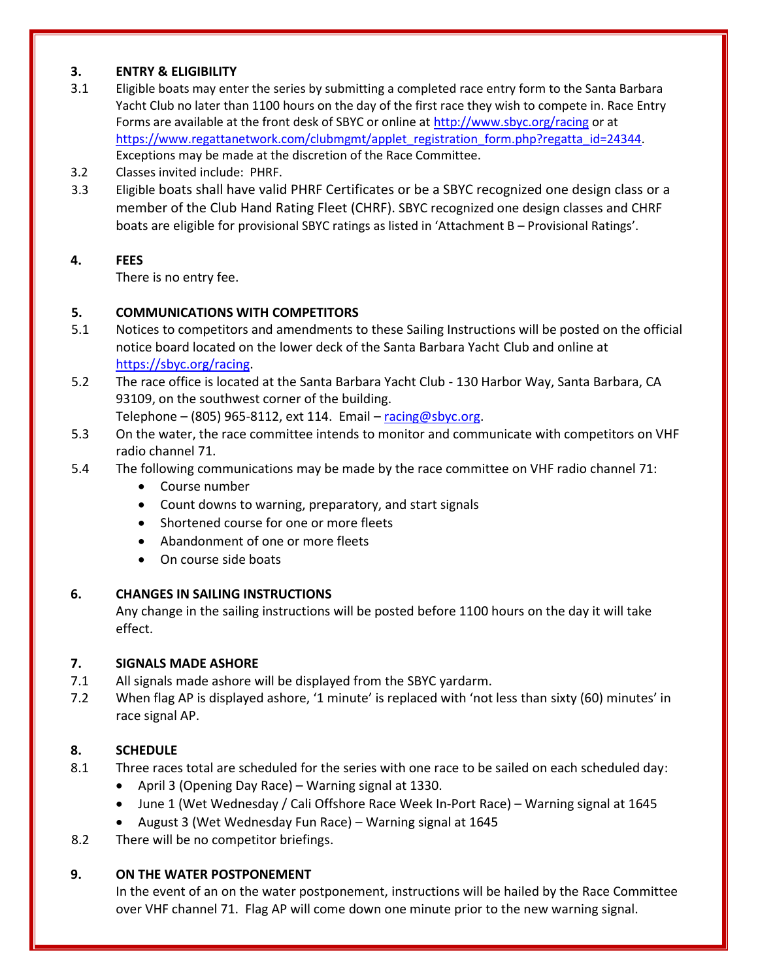#### **3. ENTRY & ELIGIBILITY**

- 3.1 Eligible boats may enter the series by submitting a completed race entry form to the Santa Barbara Yacht Club no later than 1100 hours on the day of the first race they wish to compete in. Race Entry Forms are available at the front desk of SBYC or online at [http://www.sbyc.org/racing](http://www.sbyc.org/racing-calendar) or at [https://www.regattanetwork.com/clubmgmt/applet\\_registration\\_form.php?regatta\\_id=24344.](https://www.regattanetwork.com/clubmgmt/applet_registration_form.php?regatta_id=24344) Exceptions may be made at the discretion of the Race Committee.
- 3.2 Classes invited include: PHRF.
- 3.3 Eligible boats shall have valid PHRF Certificates or be a SBYC recognized one design class or a member of the Club Hand Rating Fleet (CHRF). SBYC recognized one design classes and CHRF boats are eligible for provisional SBYC ratings as listed in 'Attachment B – Provisional Ratings'.

#### **4. FEES**

There is no entry fee.

#### **5. COMMUNICATIONS WITH COMPETITORS**

- 5.1 Notices to competitors and amendments to these Sailing Instructions will be posted on the official notice board located on the lower deck of the Santa Barbara Yacht Club and online at [https://sbyc.org/racing.](https://sbyc.org/racing)
- 5.2 The race office is located at the Santa Barbara Yacht Club 130 Harbor Way, Santa Barbara, CA 93109, on the southwest corner of the building.

Telephone – (805) 965-8112, ext 114. Email – [racing@sbyc.org.](mailto:racing@sbyc.org)

- 5.3 On the water, the race committee intends to monitor and communicate with competitors on VHF radio channel 71.
- 5.4 The following communications may be made by the race committee on VHF radio channel 71:
	- Course number
	- Count downs to warning, preparatory, and start signals
	- Shortened course for one or more fleets
	- Abandonment of one or more fleets
	- On course side boats

#### **6. CHANGES IN SAILING INSTRUCTIONS**

Any change in the sailing instructions will be posted before 1100 hours on the day it will take effect.

#### **7. SIGNALS MADE ASHORE**

- 7.1 All signals made ashore will be displayed from the SBYC yardarm.
- 7.2 When flag AP is displayed ashore, '1 minute' is replaced with 'not less than sixty (60) minutes' in race signal AP.

# **8. SCHEDULE**

- 8.1 Three races total are scheduled for the series with one race to be sailed on each scheduled day:
	- April 3 (Opening Day Race) Warning signal at 1330.
	- June 1 (Wet Wednesday / Cali Offshore Race Week In-Port Race) Warning signal at 1645
	- August 3 (Wet Wednesday Fun Race) Warning signal at 1645
- 8.2 There will be no competitor briefings.

# **9. ON THE WATER POSTPONEMENT**

In the event of an on the water postponement, instructions will be hailed by the Race Committee over VHF channel 71. Flag AP will come down one minute prior to the new warning signal.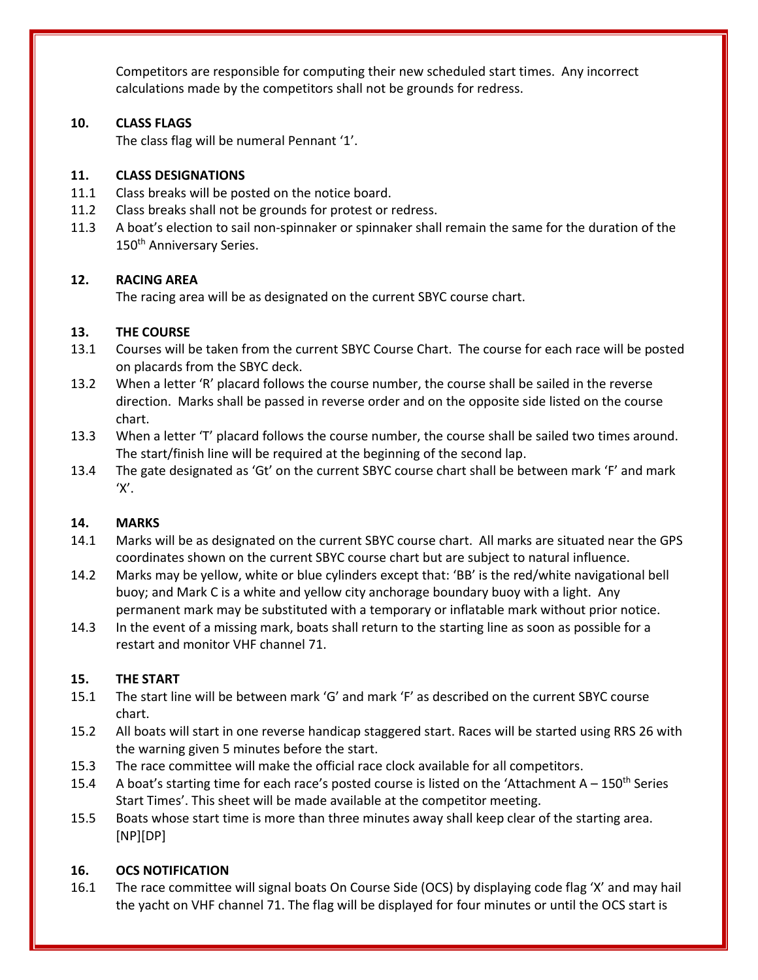Competitors are responsible for computing their new scheduled start times. Any incorrect calculations made by the competitors shall not be grounds for redress.

## **10. CLASS FLAGS**

The class flag will be numeral Pennant '1'.

#### **11. CLASS DESIGNATIONS**

- 11.1 Class breaks will be posted on the notice board.
- 11.2 Class breaks shall not be grounds for protest or redress.
- 11.3 A boat's election to sail non-spinnaker or spinnaker shall remain the same for the duration of the 150<sup>th</sup> Anniversary Series.

#### **12. RACING AREA**

The racing area will be as designated on the current SBYC course chart.

#### **13. THE COURSE**

- 13.1 Courses will be taken from the current SBYC Course Chart. The course for each race will be posted on placards from the SBYC deck.
- 13.2 When a letter 'R' placard follows the course number, the course shall be sailed in the reverse direction. Marks shall be passed in reverse order and on the opposite side listed on the course chart.
- 13.3 When a letter 'T' placard follows the course number, the course shall be sailed two times around. The start/finish line will be required at the beginning of the second lap.
- 13.4 The gate designated as 'Gt' on the current SBYC course chart shall be between mark 'F' and mark  $'X'$ .

# **14. MARKS**

- 14.1 Marks will be as designated on the current SBYC course chart. All marks are situated near the GPS coordinates shown on the current SBYC course chart but are subject to natural influence.
- 14.2 Marks may be yellow, white or blue cylinders except that: 'BB' is the red/white navigational bell buoy; and Mark C is a white and yellow city anchorage boundary buoy with a light. Any permanent mark may be substituted with a temporary or inflatable mark without prior notice.
- 14.3 In the event of a missing mark, boats shall return to the starting line as soon as possible for a restart and monitor VHF channel 71.

# **15. THE START**

- 15.1 The start line will be between mark 'G' and mark 'F' as described on the current SBYC course chart.
- 15.2 All boats will start in one reverse handicap staggered start. Races will be started using RRS 26 with the warning given 5 minutes before the start.
- 15.3 The race committee will make the official race clock available for all competitors.
- 15.4 A boat's starting time for each race's posted course is listed on the 'Attachment A 150<sup>th</sup> Series Start Times'. This sheet will be made available at the competitor meeting.
- 15.5 Boats whose start time is more than three minutes away shall keep clear of the starting area. [NP][DP]

# **16. OCS NOTIFICATION**

16.1 The race committee will signal boats On Course Side (OCS) by displaying code flag 'X' and may hail the yacht on VHF channel 71. The flag will be displayed for four minutes or until the OCS start is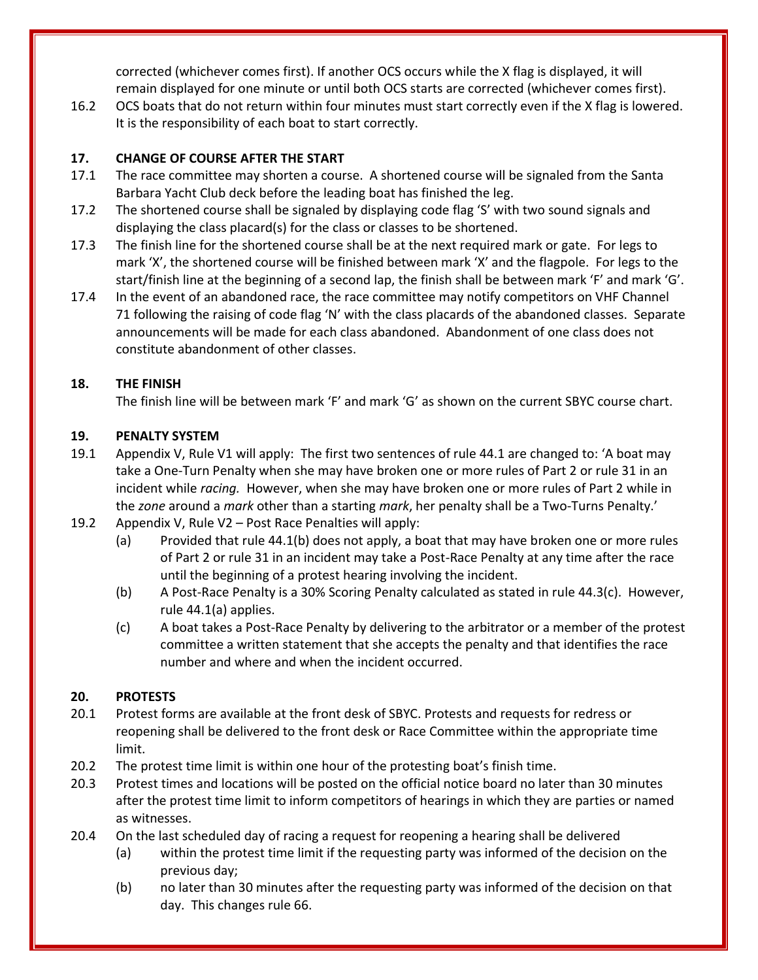corrected (whichever comes first). If another OCS occurs while the X flag is displayed, it will remain displayed for one minute or until both OCS starts are corrected (whichever comes first).

16.2 OCS boats that do not return within four minutes must start correctly even if the X flag is lowered. It is the responsibility of each boat to start correctly.

# **17. CHANGE OF COURSE AFTER THE START**

- 17.1 The race committee may shorten a course. A shortened course will be signaled from the Santa Barbara Yacht Club deck before the leading boat has finished the leg.
- 17.2 The shortened course shall be signaled by displaying code flag 'S' with two sound signals and displaying the class placard(s) for the class or classes to be shortened.
- 17.3 The finish line for the shortened course shall be at the next required mark or gate. For legs to mark 'X', the shortened course will be finished between mark 'X' and the flagpole. For legs to the start/finish line at the beginning of a second lap, the finish shall be between mark 'F' and mark 'G'.
- 17.4 In the event of an abandoned race, the race committee may notify competitors on VHF Channel 71 following the raising of code flag 'N' with the class placards of the abandoned classes. Separate announcements will be made for each class abandoned. Abandonment of one class does not constitute abandonment of other classes.

# **18. THE FINISH**

The finish line will be between mark 'F' and mark 'G' as shown on the current SBYC course chart.

# **19. PENALTY SYSTEM**

- 19.1 Appendix V, Rule V1 will apply: The first two sentences of rule 44.1 are changed to: 'A boat may take a One-Turn Penalty when she may have broken one or more rules of Part 2 or rule 31 in an incident while *racing.* However, when she may have broken one or more rules of Part 2 while in the *zone* around a *mark* other than a starting *mark*, her penalty shall be a Two-Turns Penalty.'
- 19.2 Appendix V, Rule V2 Post Race Penalties will apply:
	- (a) Provided that rule 44.1(b) does not apply, a boat that may have broken one or more rules of Part 2 or rule 31 in an incident may take a Post-Race Penalty at any time after the race until the beginning of a protest hearing involving the incident.
	- (b) A Post-Race Penalty is a 30% Scoring Penalty calculated as stated in rule 44.3(c). However, rule 44.1(a) applies.
	- (c) A boat takes a Post-Race Penalty by delivering to the arbitrator or a member of the protest committee a written statement that she accepts the penalty and that identifies the race number and where and when the incident occurred.

# **20. PROTESTS**

- 20.1 Protest forms are available at the front desk of SBYC. Protests and requests for redress or reopening shall be delivered to the front desk or Race Committee within the appropriate time limit.
- 20.2 The protest time limit is within one hour of the protesting boat's finish time.
- 20.3 Protest times and locations will be posted on the official notice board no later than 30 minutes after the protest time limit to inform competitors of hearings in which they are parties or named as witnesses.
- 20.4 On the last scheduled day of racing a request for reopening a hearing shall be delivered
	- (a) within the protest time limit if the requesting party was informed of the decision on the previous day;
	- (b) no later than 30 minutes after the requesting party was informed of the decision on that day. This changes rule 66.